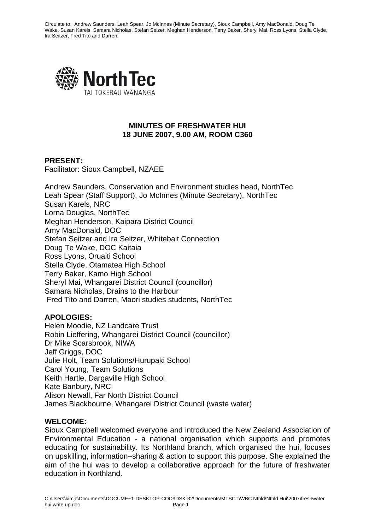

### **MINUTES OF FRESHWATER HUI 18 JUNE 2007, 9.00 AM, ROOM C360**

### **PRESENT:**

Facilitator: Sioux Campbell, NZAEE

Andrew Saunders, Conservation and Environment studies head, NorthTec Leah Spear (Staff Support), Jo McInnes (Minute Secretary), NorthTec Susan Karels, NRC Lorna Douglas, NorthTec Meghan Henderson, Kaipara District Council Amy MacDonald, DOC Stefan Seitzer and Ira Seitzer, Whitebait Connection Doug Te Wake, DOC Kaitaia Ross Lyons, Oruaiti School Stella Clyde, Otamatea High School Terry Baker, Kamo High School Sheryl Mai, Whangarei District Council (councillor) Samara Nicholas, Drains to the Harbour Fred Tito and Darren, Maori studies students, NorthTec

### **APOLOGIES:**

Helen Moodie, NZ Landcare Trust Robin Lieffering, Whangarei District Council (councillor) Dr Mike Scarsbrook, NIWA Jeff Griggs, DOC Julie Holt, Team Solutions/Hurupaki School Carol Young, Team Solutions Keith Hartle, Dargaville High School Kate Banbury, NRC Alison Newall, Far North District Council James Blackbourne, Whangarei District Council (waste water)

#### **WELCOME:**

Sioux Campbell welcomed everyone and introduced the New Zealand Association of Environmental Education - a national organisation which supports and promotes educating for sustainability. Its Northland branch, which organised the hui, focuses on upskilling, information–sharing & action to support this purpose. She explained the aim of the hui was to develop a collaborative approach for the future of freshwater education in Northland.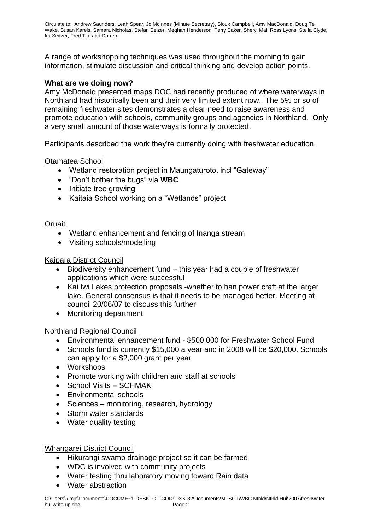A range of workshopping techniques was used throughout the morning to gain information, stimulate discussion and critical thinking and develop action points.

## **What are we doing now?**

Amy McDonald presented maps DOC had recently produced of where waterways in Northland had historically been and their very limited extent now. The 5% or so of remaining freshwater sites demonstrates a clear need to raise awareness and promote education with schools, community groups and agencies in Northland. Only a very small amount of those waterways is formally protected.

Participants described the work they're currently doing with freshwater education.

### Otamatea School

- Wetland restoration project in Maungaturoto. incl "Gateway"
- "Don't bother the bugs" via **WBC**
- Initiate tree growing
- Kaitaia School working on a "Wetlands" project

#### **Oruaiti**

- Wetland enhancement and fencing of Inanga stream
- Visiting schools/modelling

#### Kaipara District Council

- Biodiversity enhancement fund this year had a couple of freshwater applications which were successful
- Kai Iwi Lakes protection proposals -whether to ban power craft at the larger lake. General consensus is that it needs to be managed better. Meeting at council 20/06/07 to discuss this further
- Monitoring department

### Northland Regional Council

- Environmental enhancement fund \$500,000 for Freshwater School Fund
- Schools fund is currently \$15,000 a year and in 2008 will be \$20,000. Schools can apply for a \$2,000 grant per year
- Workshops
- Promote working with children and staff at schools
- School Visits SCHMAK
- Environmental schools
- Sciences monitoring, research, hydrology
- Storm water standards
- Water quality testing

### Whangarei District Council

- Hikurangi swamp drainage project so it can be farmed
- WDC is involved with community projects
- Water testing thru laboratory moving toward Rain data
- Water abstraction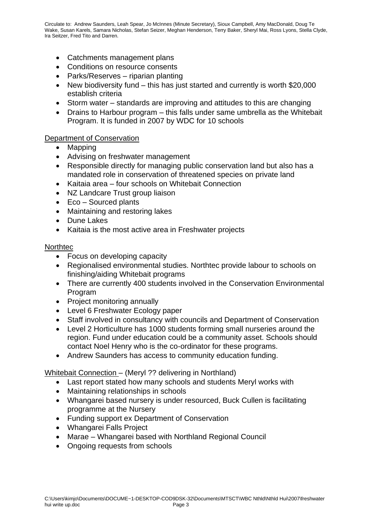- Catchments management plans
- Conditions on resource consents
- Parks/Reserves riparian planting
- New biodiversity fund this has just started and currently is worth \$20,000 establish criteria
- Storm water standards are improving and attitudes to this are changing
- Drains to Harbour program this falls under same umbrella as the Whitebait Program. It is funded in 2007 by WDC for 10 schools

### Department of Conservation

- Mapping
- Advising on freshwater management
- Responsible directly for managing public conservation land but also has a mandated role in conservation of threatened species on private land
- Kaitaia area four schools on Whitebait Connection
- NZ Landcare Trust group liaison
- Eco Sourced plants
- Maintaining and restoring lakes
- Dune Lakes
- Kaitaia is the most active area in Freshwater projects

#### **Northtec**

- Focus on developing capacity
- Regionalised environmental studies. Northtec provide labour to schools on finishing/aiding Whitebait programs
- There are currently 400 students involved in the Conservation Environmental Program
- Project monitoring annually
- Level 6 Freshwater Ecology paper
- Staff involved in consultancy with councils and Department of Conservation
- Level 2 Horticulture has 1000 students forming small nurseries around the region. Fund under education could be a community asset. Schools should contact Noel Henry who is the co-ordinator for these programs.
- Andrew Saunders has access to community education funding.

### Whitebait Connection – (Meryl ?? delivering in Northland)

- Last report stated how many schools and students Meryl works with
- Maintaining relationships in schools
- Whangarei based nursery is under resourced, Buck Cullen is facilitating programme at the Nursery
- Funding support ex Department of Conservation
- Whangarei Falls Project
- Marae Whangarei based with Northland Regional Council
- Ongoing requests from schools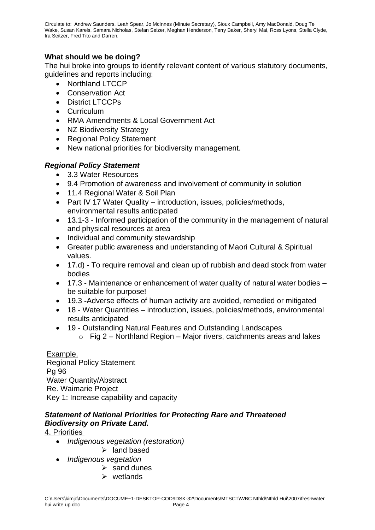# **What should we be doing?**

The hui broke into groups to identify relevant content of various statutory documents, guidelines and reports including:

- Northland LTCCP
- Conservation Act
- District LTCCPs
- Curriculum
- RMA Amendments & Local Government Act
- NZ Biodiversity Strategy
- Regional Policy Statement
- New national priorities for biodiversity management.

# *Regional Policy Statement*

- 3.3 Water Resources
- 9.4 Promotion of awareness and involvement of community in solution
- 11.4 Regional Water & Soil Plan
- Part IV 17 Water Quality introduction, issues, policies/methods, environmental results anticipated
- 13.1-3 Informed participation of the community in the management of natural and physical resources at area
- Individual and community stewardship
- Greater public awareness and understanding of Maori Cultural & Spiritual values.
- 17.d) To require removal and clean up of rubbish and dead stock from water bodies
- 17.3 Maintenance or enhancement of water quality of natural water bodies be suitable for purpose!
- 19.3 **-**Adverse effects of human activity are avoided, remedied or mitigated
- 18 Water Quantities introduction, issues, policies/methods, environmental results anticipated
- 19 Outstanding Natural Features and Outstanding Landscapes
	- $\circ$  Fig 2 Northland Region Major rivers, catchments areas and lakes

Example. Regional Policy Statement Pg 96 Water Quantity/Abstract Re. Waimarie Project Key 1: Increase capability and capacity

# *Statement of National Priorities for Protecting Rare and Threatened Biodiversity on Private Land.*

# 4. Priorities

- *Indigenous vegetation (restoration)*
	- ➢ land based
- *Indigenous vegetation* 
	- $\triangleright$  sand dunes
	- ➢ wetlands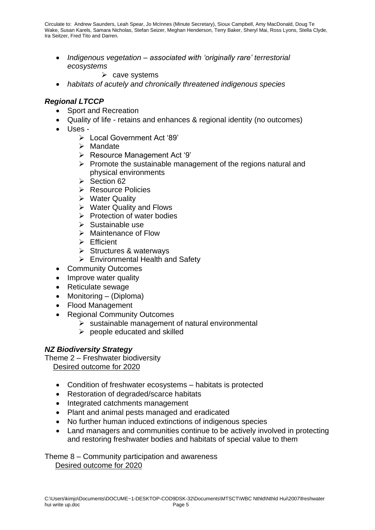• *Indigenous vegetation – associated with 'originally rare' terrestorial ecosystems* 

 $\triangleright$  cave systems

• *habitats of acutely and chronically threatened indigenous species*

## *Regional LTCCP*

- Sport and Recreation
- Quality of life retains and enhances & regional identity (no outcomes)
- Uses
	- ➢ Local Government Act '89'
	- ➢ Mandate
	- ➢ Resource Management Act '9'
	- ➢ Promote the sustainable management of the regions natural and physical environments
	- ➢ Section 62
	- ➢ Resource Policies
	- ➢ Water Quality
	- ➢ Water Quality and Flows
	- ➢ Protection of water bodies
	- ➢ Sustainable use
	- ➢ Maintenance of Flow
	- ➢ Efficient
	- ➢ Structures & waterways
	- ➢ Environmental Health and Safety
- Community Outcomes
- Improve water quality
- Reticulate sewage
- Monitoring (Diploma)
- Flood Management
- Regional Community Outcomes
	- $\triangleright$  sustainable management of natural environmental
	- ➢ people educated and skilled

# *NZ Biodiversity Strategy*

Theme 2 – Freshwater biodiversity Desired outcome for 2020

- Condition of freshwater ecosystems habitats is protected
- Restoration of degraded/scarce habitats
- Integrated catchments management
- Plant and animal pests managed and eradicated
- No further human induced extinctions of indigenous species
- Land managers and communities continue to be actively involved in protecting and restoring freshwater bodies and habitats of special value to them

Theme 8 – Community participation and awareness Desired outcome for 2020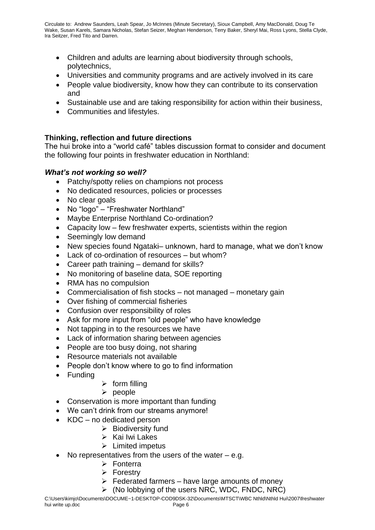- Children and adults are learning about biodiversity through schools, polytechnics,
- Universities and community programs and are actively involved in its care
- People value biodiversity, know how they can contribute to its conservation and
- Sustainable use and are taking responsibility for action within their business,
- Communities and lifestyles.

# **Thinking, reflection and future directions**

The hui broke into a "world café" tables discussion format to consider and document the following four points in freshwater education in Northland:

# *What's not working so well?*

- Patchy/spotty relies on champions not process
- No dedicated resources, policies or processes
- No clear goals
- No "logo" "Freshwater Northland"
- Maybe Enterprise Northland Co-ordination?
- Capacity low few freshwater experts, scientists within the region
- Seemingly low demand
- New species found Ngataki– unknown, hard to manage, what we don't know
- Lack of co-ordination of resources but whom?
- Career path training demand for skills?
- No monitoring of baseline data, SOE reporting
- RMA has no compulsion
- Commercialisation of fish stocks not managed monetary gain
- Over fishing of commercial fisheries
- Confusion over responsibility of roles
- Ask for more input from "old people" who have knowledge
- Not tapping in to the resources we have
- Lack of information sharing between agencies
- People are too busy doing, not sharing
- Resource materials not available
- People don't know where to go to find information
- Funding
- $\triangleright$  form filling
- ➢ people
- Conservation is more important than funding
- We can't drink from our streams anymore!
- KDC no dedicated person
	- $\triangleright$  Biodiversity fund
	- ➢ Kai Iwi Lakes
	- ➢ Limited impetus
- No representatives from the users of the water  $-$  e.g.
	- ➢ Fonterra
	- ➢ Forestry
	- $\triangleright$  Federated farmers have large amounts of money
	- $\triangleright$  (No lobbying of the users NRC, WDC, FNDC, NRC)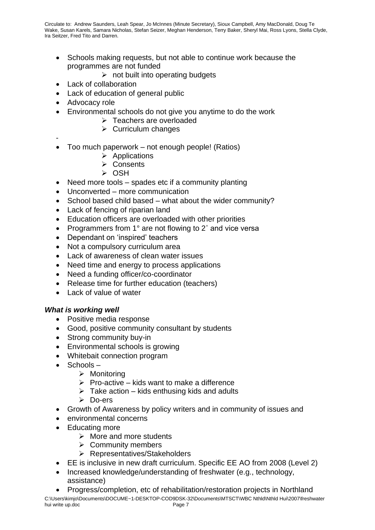- Schools making requests, but not able to continue work because the programmes are not funded
	- $\triangleright$  not built into operating budgets
- Lack of collaboration
- Lack of education of general public
- Advocacy role
- Environmental schools do not give you anytime to do the work
	- ➢ Teachers are overloaded
	- $\triangleright$  Curriculum changes
- -
- Too much paperwork not enough people! (Ratios)
	- ➢ Applications
	- ➢ Consents
	- ➢ OSH
- Need more tools spades etc if a community planting
- Unconverted more communication
- School based child based what about the wider community?
- Lack of fencing of riparian land
- Education officers are overloaded with other priorities
- Programmers from 1° are not flowing to 2° and vice versa
- Dependant on 'inspired' teachers
- Not a compulsory curriculum area
- Lack of awareness of clean water issues
- Need time and energy to process applications
- Need a funding officer/co-coordinator
- Release time for further education (teachers)
- Lack of value of water

### *What is working well*

- Positive media response
- Good, positive community consultant by students
- Strong community buy-in
- Environmental schools is growing
- Whitebait connection program
- Schools
	- ➢ Monitoring
	- $\triangleright$  Pro-active kids want to make a difference
	- $\triangleright$  Take action kids enthusing kids and adults
	- ➢ Do-ers
- Growth of Awareness by policy writers and in community of issues and
- environmental concerns
- Educating more
	- ➢ More and more students
	- ➢ Community members
	- ➢ Representatives/Stakeholders
- EE is inclusive in new draft curriculum. Specific EE AO from 2008 (Level 2)
- Increased knowledge/understanding of freshwater (e.g., technology, assistance)
- C:\Users\kimjo\Documents\DOCUME~1-DESKTOP-COD9DSK-32\Documents\MTSCT\WBC Nthld\Nthld Hui\2007\freshwater hui write up.doc **Page 7** • Progress/completion, etc of rehabilitation/restoration projects in Northland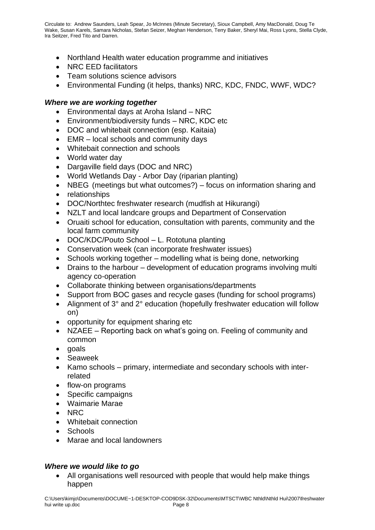- Northland Health water education programme and initiatives
- NRC EED facilitators
- Team solutions science advisors
- Environmental Funding (it helps, thanks) NRC, KDC, FNDC, WWF, WDC?

### *Where we are working together*

- Environmental days at Aroha Island NRC
- Environment/biodiversity funds NRC, KDC etc
- DOC and whitebait connection (esp. Kaitaia)
- EMR local schools and community days
- Whitebait connection and schools
- World water day
- Dargaville field days (DOC and NRC)
- World Wetlands Day Arbor Day (riparian planting)
- NBEG (meetings but what outcomes?) focus on information sharing and
- relationships
- DOC/Northtec freshwater research (mudfish at Hikurangi)
- NZLT and local landcare groups and Department of Conservation
- Oruaiti school for education, consultation with parents, community and the local farm community
- DOC/KDC/Pouto School L. Rototuna planting
- Conservation week (can incorporate freshwater issues)
- Schools working together modelling what is being done, networking
- Drains to the harbour development of education programs involving multi agency co-operation
- Collaborate thinking between organisations/departments
- Support from BOC gases and recycle gases (funding for school programs)
- Alignment of 3° and 2° education (hopefully freshwater education will follow on)
- opportunity for equipment sharing etc
- NZAEE Reporting back on what's going on. Feeling of community and common
- goals
- Seaweek
- Kamo schools primary, intermediate and secondary schools with interrelated
- flow-on programs
- Specific campaigns
- Waimarie Marae
- NRC
- Whitebait connection
- Schools
- Marae and local landowners

### *Where we would like to go*

• All organisations well resourced with people that would help make things happen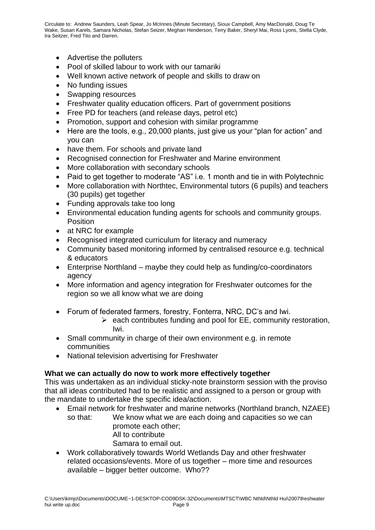- Advertise the polluters
- Pool of skilled labour to work with our tamariki
- Well known active network of people and skills to draw on
- No funding issues
- Swapping resources
- Freshwater quality education officers. Part of government positions
- Free PD for teachers (and release days, petrol etc)
- Promotion, support and cohesion with similar programme
- Here are the tools, e.g., 20,000 plants, just give us your "plan for action" and you can
- have them. For schools and private land
- Recognised connection for Freshwater and Marine environment
- More collaboration with secondary schools
- Paid to get together to moderate "AS" i.e. 1 month and tie in with Polytechnic
- More collaboration with Northtec, Environmental tutors (6 pupils) and teachers (30 pupils) get together
- Funding approvals take too long
- Environmental education funding agents for schools and community groups. **Position**
- at NRC for example
- Recognised integrated curriculum for literacy and numeracy
- Community based monitoring informed by centralised resource e.g. technical & educators
- Enterprise Northland maybe they could help as funding/co-coordinators agency
- More information and agency integration for Freshwater outcomes for the region so we all know what we are doing
- Forum of federated farmers, forestry, Fonterra, NRC, DC's and Iwi.
	- $\triangleright$  each contributes funding and pool for EE, community restoration, Iwi.
- Small community in charge of their own environment e.g. in remote communities
- National television advertising for Freshwater

### **What we can actually do now to work more effectively together**

This was undertaken as an individual sticky-note brainstorm session with the proviso that all ideas contributed had to be realistic and assigned to a person or group with the mandate to undertake the specific idea/action.

- Email network for freshwater and marine networks (Northland branch, NZAEE) so that: We know what we are each doing and capacities so we can promote each other; All to contribute Samara to email out.
- Work collaboratively towards World Wetlands Day and other freshwater related occasions/events. More of us together – more time and resources available – bigger better outcome. Who??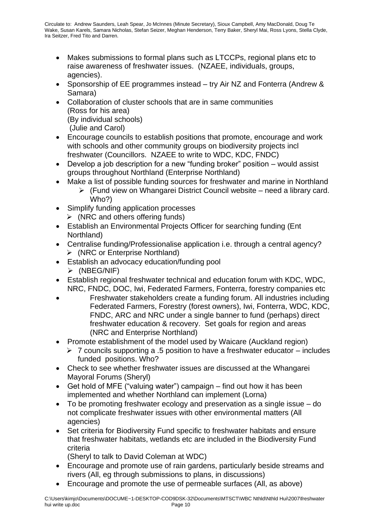- Makes submissions to formal plans such as LTCCPs, regional plans etc to raise awareness of freshwater issues. (NZAEE, individuals, groups, agencies).
- Sponsorship of EE programmes instead try Air NZ and Fonterra (Andrew & Samara)
- Collaboration of cluster schools that are in same communities (Ross for his area) (By individual schools) (Julie and Carol)
- Encourage councils to establish positions that promote, encourage and work with schools and other community groups on biodiversity projects incl freshwater (Councillors. NZAEE to write to WDC, KDC, FNDC)
- Develop a job description for a new "funding broker" position would assist groups throughout Northland (Enterprise Northland)
- Make a list of possible funding sources for freshwater and marine in Northland
	- ➢ (Fund view on Whangarei District Council website need a library card. Who?)
- Simplify funding application processes
	- $\triangleright$  (NRC and others offering funds)
- Establish an Environmental Projects Officer for searching funding (Ent Northland)
- Centralise funding/Professionalise application i.e. through a central agency? ➢ (NRC or Enterprise Northland)
- Establish an advocacy education/funding pool ➢ (NBEG/NIF)
- Establish regional freshwater technical and education forum with KDC, WDC, NRC, FNDC, DOC, Iwi, Federated Farmers, Fonterra, forestry companies etc
- Freshwater stakeholders create a funding forum. All industries including Federated Farmers, Forestry (forest owners), Iwi, Fonterra, WDC, KDC, FNDC, ARC and NRC under a single banner to fund (perhaps) direct freshwater education & recovery. Set goals for region and areas (NRC and Enterprise Northland)
- Promote establishment of the model used by Waicare (Auckland region)
	- $\triangleright$  7 councils supporting a .5 position to have a freshwater educator includes funded positions. Who?
- Check to see whether freshwater issues are discussed at the Whangarei Mayoral Forums (Sheryl)
- Get hold of MFE ("valuing water") campaign find out how it has been implemented and whether Northland can implement (Lorna)
- To be promoting freshwater ecology and preservation as a single issue do not complicate freshwater issues with other environmental matters (All agencies)
- Set criteria for Biodiversity Fund specific to freshwater habitats and ensure that freshwater habitats, wetlands etc are included in the Biodiversity Fund criteria

(Sheryl to talk to David Coleman at WDC)

- Encourage and promote use of rain gardens, particularly beside streams and rivers (All, eg through submissions to plans, in discussions)
- Encourage and promote the use of permeable surfaces (All, as above)